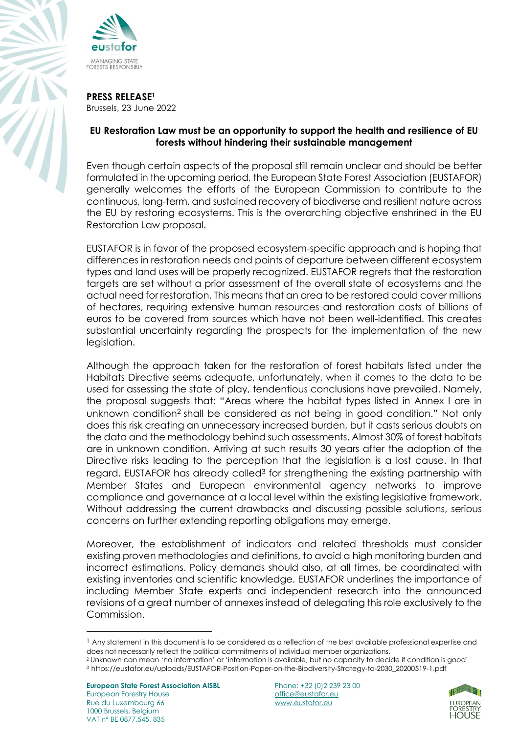



**PRESS RELEASE<sup>1</sup>** Brussels, 23 June 2022

## **EU Restoration Law must be an opportunity to support the health and resilience of EU forests without hindering their sustainable management**

Even though certain aspects of the proposal still remain unclear and should be better formulated in the upcoming period, the European State Forest Association (EUSTAFOR) generally welcomes the efforts of the European Commission to contribute to the continuous, long-term, and sustained recovery of biodiverse and resilient nature across the EU by restoring ecosystems. This is the overarching objective enshrined in the EU Restoration Law proposal.

EUSTAFOR is in favor of the proposed ecosystem-specific approach and is hoping that differences in restoration needs and points of departure between different ecosystem types and land uses will be properly recognized. EUSTAFOR regrets that the restoration targets are set without a prior assessment of the overall state of ecosystems and the actual need for restoration. This means that an area to be restored could cover millions of hectares, requiring extensive human resources and restoration costs of billions of euros to be covered from sources which have not been well-identified. This creates substantial uncertainty regarding the prospects for the implementation of the new legislation.

Although the approach taken for the restoration of forest habitats listed under the Habitats Directive seems adequate, unfortunately, when it comes to the data to be used for assessing the state of play, tendentious conclusions have prevailed. Namely, the proposal suggests that: "Areas where the habitat types listed in Annex I are in unknown condition<sup>2</sup> shall be considered as not being in good condition." Not only does this risk creating an unnecessary increased burden, but it casts serious doubts on the data and the methodology behind such assessments. Almost 30% of forest habitats are in unknown condition. Arriving at such results 30 years after the adoption of the Directive risks leading to the perception that the legislation is a lost cause. In that regard, EUSTAFOR has already called<sup>3</sup> for strengthening the existing partnership with Member States and European environmental agency networks to improve compliance and governance at a local level within the existing legislative framework. Without addressing the current drawbacks and discussing possible solutions, serious concerns on further extending reporting obligations may emerge.

Moreover, the establishment of indicators and related thresholds must consider existing proven methodologies and definitions, to avoid a high monitoring burden and incorrect estimations. Policy demands should also, at all times, be coordinated with existing inventories and scientific knowledge. EUSTAFOR underlines the importance of including Member State experts and independent research into the announced revisions of a great number of annexes instead of delegating this role exclusively to the Commission.

**European State Forest Association AISBL** Phone: +32 (0)2 239 23 00 European Forestry House **European Forestry House office@eustafor.eu** Rue du Luxembourg 66 www.eustafor.eu 1000 Brussels, Belgium VAT n° BE 0877.545. 835



<sup>&</sup>lt;sup>1</sup> Any statement in this document is to be considered as a reflection of the best available professional expertise and does not necessarily reflect the political commitments of individual member organizations.

<sup>2</sup> Unknown can mean 'no information' or 'information is available, but no capacity to decide if condition is good' <sup>3</sup> [https://eustafor.eu/uploads/EUSTAFOR-Position-Paper-on-the-Biodiversity-Strategy-to-2030\\_20200519-1.pdf](https://eustafor.eu/uploads/EUSTAFOR-Position-Paper-on-the-Biodiversity-Strategy-to-2030_20200519-1.pdf)